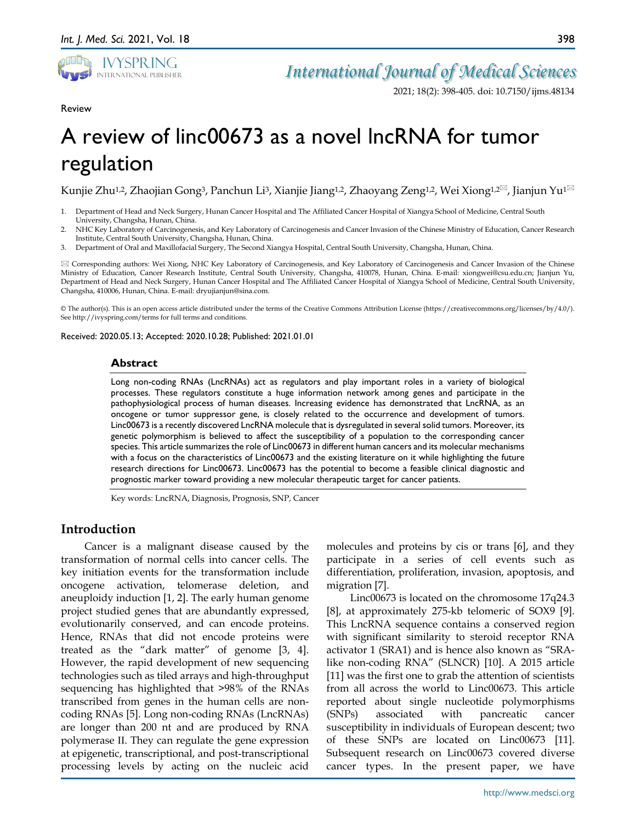

*International Journal of Medical Sciences*

2021; 18(2): 398-405. doi: 10.7150/ijms.48134

Review

# A review of linc00673 as a novel lncRNA for tumor regulation

Kunjie Zhu<sup>1,2</sup>, Zhaojian Gong<sup>3</sup>, Panchun Li<sup>3</sup>, Xianjie Jiang<sup>1,2</sup>, Zhaoyang Zeng<sup>1,2</sup>, Wei Xiong<sup>1,2 $\boxtimes$ </sup>, Jianjun Yu<sup>1 $\boxtimes$ </sup>

- 1. Department of Head and Neck Surgery, Hunan Cancer Hospital and The Affiliated Cancer Hospital of Xiangya School of Medicine, Central South University, Changsha, Hunan, China.
- 2. NHC Key Laboratory of Carcinogenesis, and Key Laboratory of Carcinogenesis and Cancer Invasion of the Chinese Ministry of Education, Cancer Research Institute, Central South University, Changsha, Hunan, China.
- 3. Department of Oral and Maxillofacial Surgery, The Second Xiangya Hospital, Central South University, Changsha, Hunan, China.

 Corresponding authors: Wei Xiong, NHC Key Laboratory of Carcinogenesis, and Key Laboratory of Carcinogenesis and Cancer Invasion of the Chinese Ministry of Education, Cancer Research Institute, Central South University, Changsha, 410078, Hunan, China. E-mail: xiongwei@csu.edu.cn; Jianjun Yu, Department of Head and Neck Surgery, Hunan Cancer Hospital and The Affiliated Cancer Hospital of Xiangya School of Medicine, Central South University, Changsha, 410006, Hunan, China. E-mail: dryujianjun@sina.com.

© The author(s). This is an open access article distributed under the terms of the Creative Commons Attribution License (https://creativecommons.org/licenses/by/4.0/). See http://ivyspring.com/terms for full terms and conditions.

Received: 2020.05.13; Accepted: 2020.10.28; Published: 2021.01.01

#### **Abstract**

Long non-coding RNAs (LncRNAs) act as regulators and play important roles in a variety of biological processes. These regulators constitute a huge information network among genes and participate in the pathophysiological process of human diseases. Increasing evidence has demonstrated that LncRNA, as an oncogene or tumor suppressor gene, is closely related to the occurrence and development of tumors. Linc00673 is a recently discovered LncRNA molecule that is dysregulated in several solid tumors. Moreover, its genetic polymorphism is believed to affect the susceptibility of a population to the corresponding cancer species. This article summarizes the role of Linc00673 in different human cancers and its molecular mechanisms with a focus on the characteristics of Linc00673 and the existing literature on it while highlighting the future research directions for Linc00673. Linc00673 has the potential to become a feasible clinical diagnostic and prognostic marker toward providing a new molecular therapeutic target for cancer patients.

Key words: LncRNA, Diagnosis, Prognosis, SNP, Cancer

## **Introduction**

Cancer is a malignant disease caused by the transformation of normal cells into cancer cells. The key initiation events for the transformation include oncogene activation, telomerase deletion, and aneuploidy induction [1, 2]. The early human genome project studied genes that are abundantly expressed, evolutionarily conserved, and can encode proteins. Hence, RNAs that did not encode proteins were treated as the "dark matter" of genome [3, 4]. However, the rapid development of new sequencing technologies such as tiled arrays and high-throughput sequencing has highlighted that >98% of the RNAs transcribed from genes in the human cells are noncoding RNAs [5]. Long non-coding RNAs (LncRNAs) are longer than 200 nt and are produced by RNA polymerase ΙΙ. They can regulate the gene expression at epigenetic, transcriptional, and post-transcriptional processing levels by acting on the nucleic acid

molecules and proteins by cis or trans [6], and they participate in a series of cell events such as differentiation, proliferation, invasion, apoptosis, and migration [7].

Linc00673 is located on the chromosome 17q24.3 [8], at approximately 275-kb telomeric of SOX9 [9]. This LncRNA sequence contains a conserved region with significant similarity to steroid receptor RNA activator 1 (SRA1) and is hence also known as "SRAlike non-coding RNA" (SLNCR) [10]. A 2015 article [11] was the first one to grab the attention of scientists from all across the world to Linc00673. This article reported about single nucleotide polymorphisms (SNPs) associated with pancreatic cancer susceptibility in individuals of European descent; two of these SNPs are located on Linc00673 [11]. Subsequent research on Linc00673 covered diverse cancer types. In the present paper, we have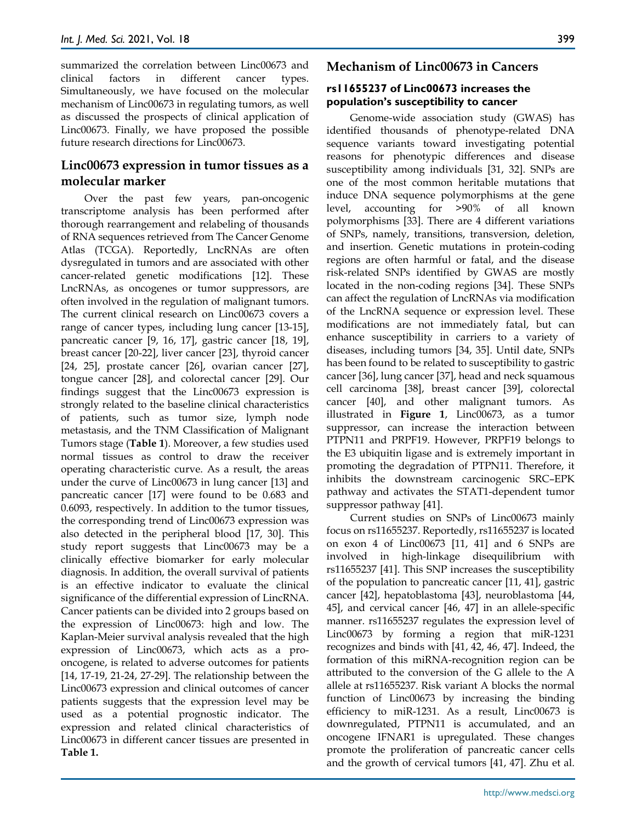summarized the correlation between Linc00673 and clinical factors in different cancer types. Simultaneously, we have focused on the molecular mechanism of Linc00673 in regulating tumors, as well as discussed the prospects of clinical application of Linc00673. Finally, we have proposed the possible future research directions for Linc00673.

# **Linc00673 expression in tumor tissues as a molecular marker**

Over the past few years, pan-oncogenic transcriptome analysis has been performed after thorough rearrangement and relabeling of thousands of RNA sequences retrieved from The Cancer Genome Atlas (TCGA). Reportedly, LncRNAs are often dysregulated in tumors and are associated with other cancer-related genetic modifications [12]. These LncRNAs, as oncogenes or tumor suppressors, are often involved in the regulation of malignant tumors. The current clinical research on Linc00673 covers a range of cancer types, including lung cancer [13-15], pancreatic cancer [9, 16, 17], gastric cancer [18, 19], breast cancer [20-22], liver cancer [23], thyroid cancer [24, 25], prostate cancer [26], ovarian cancer [27], tongue cancer [28], and colorectal cancer [29]. Our findings suggest that the Linc00673 expression is strongly related to the baseline clinical characteristics of patients, such as tumor size, lymph node metastasis, and the TNM Classification of Malignant Tumors stage (**Table 1**). Moreover, a few studies used normal tissues as control to draw the receiver operating characteristic curve. As a result, the areas under the curve of Linc00673 in lung cancer [13] and pancreatic cancer [17] were found to be 0.683 and 0.6093, respectively. In addition to the tumor tissues, the corresponding trend of Linc00673 expression was also detected in the peripheral blood [17, 30]. This study report suggests that Linc00673 may be a clinically effective biomarker for early molecular diagnosis. In addition, the overall survival of patients is an effective indicator to evaluate the clinical significance of the differential expression of LincRNA. Cancer patients can be divided into 2 groups based on the expression of Linc00673: high and low. The Kaplan-Meier survival analysis revealed that the high expression of Linc00673, which acts as a prooncogene, is related to adverse outcomes for patients [14, 17-19, 21-24, 27-29]. The relationship between the Linc00673 expression and clinical outcomes of cancer patients suggests that the expression level may be used as a potential prognostic indicator. The expression and related clinical characteristics of Linc00673 in different cancer tissues are presented in **Table 1.**

## **Mechanism of Linc00673 in Cancers**

#### **rs11655237 of Linc00673 increases the population's susceptibility to cancer**

Genome-wide association study (GWAS) has identified thousands of phenotype-related DNA sequence variants toward investigating potential reasons for phenotypic differences and disease susceptibility among individuals [31, 32]. SNPs are one of the most common heritable mutations that induce DNA sequence polymorphisms at the gene level, accounting for >90% of all known polymorphisms [33]. There are 4 different variations of SNPs, namely, transitions, transversion, deletion, and insertion. Genetic mutations in protein-coding regions are often harmful or fatal, and the disease risk-related SNPs identified by GWAS are mostly located in the non-coding regions [34]. These SNPs can affect the regulation of LncRNAs via modification of the LncRNA sequence or expression level. These modifications are not immediately fatal, but can enhance susceptibility in carriers to a variety of diseases, including tumors [34, 35]. Until date, SNPs has been found to be related to susceptibility to gastric cancer [36], lung cancer [37], head and neck squamous cell carcinoma [38], breast cancer [39], colorectal cancer [40], and other malignant tumors. As illustrated in **Figure 1**, Linc00673, as a tumor suppressor, can increase the interaction between PTPN11 and PRPF19. However, PRPF19 belongs to the E3 ubiquitin ligase and is extremely important in promoting the degradation of PTPN11. Therefore, it inhibits the downstream carcinogenic SRC–EPK pathway and activates the STAT1-dependent tumor suppressor pathway [41].

Current studies on SNPs of Linc00673 mainly focus on rs11655237. Reportedly, rs11655237 is located on exon 4 of Linc00673 [11, 41] and 6 SNPs are involved in high-linkage disequilibrium with rs11655237 [41]. This SNP increases the susceptibility of the population to pancreatic cancer [11, 41], gastric cancer [42], hepatoblastoma [43], neuroblastoma [44, 45], and cervical cancer [46, 47] in an allele-specific manner. rs11655237 regulates the expression level of Linc00673 by forming a region that miR-1231 recognizes and binds with [41, 42, 46, 47]. Indeed, the formation of this miRNA-recognition region can be attributed to the conversion of the G allele to the A allele at rs11655237. Risk variant A blocks the normal function of Linc00673 by increasing the binding efficiency to miR-1231. As a result, Linc00673 is downregulated, PTPN11 is accumulated, and an oncogene IFNAR1 is upregulated. These changes promote the proliferation of pancreatic cancer cells and the growth of cervical tumors [41, 47]. Zhu et al.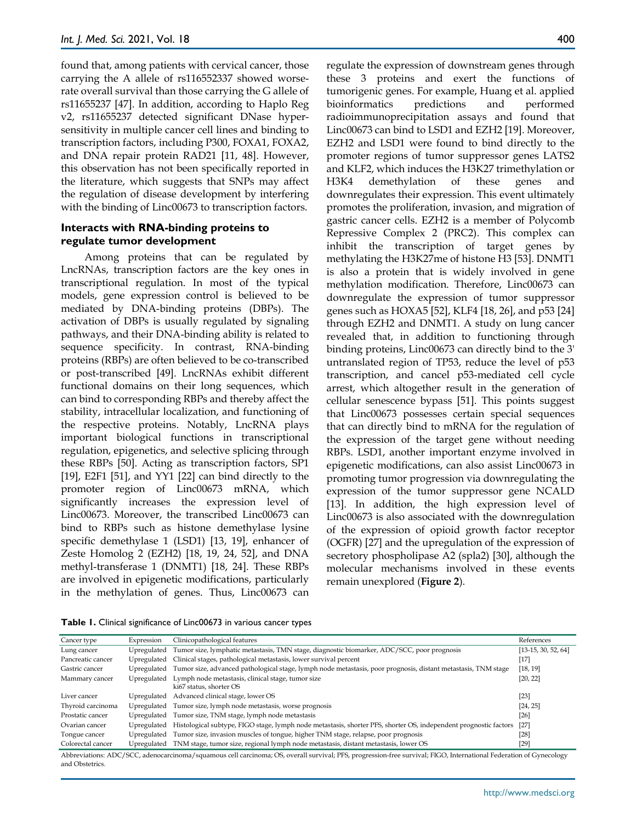found that, among patients with cervical cancer, those carrying the A allele of rs116552337 showed worserate overall survival than those carrying the G allele of rs11655237 [47]. In addition, according to Haplo Reg v2, rs11655237 detected significant DNase hypersensitivity in multiple cancer cell lines and binding to transcription factors, including P300, FOXA1, FOXA2, and DNA repair protein RAD21 [11, 48]. However, this observation has not been specifically reported in the literature, which suggests that SNPs may affect the regulation of disease development by interfering with the binding of Linc00673 to transcription factors.

#### **Interacts with RNA-binding proteins to regulate tumor development**

Among proteins that can be regulated by LncRNAs, transcription factors are the key ones in transcriptional regulation. In most of the typical models, gene expression control is believed to be mediated by DNA-binding proteins (DBPs). The activation of DBPs is usually regulated by signaling pathways, and their DNA-binding ability is related to sequence specificity. In contrast, RNA-binding proteins (RBPs) are often believed to be co-transcribed or post-transcribed [49]. LncRNAs exhibit different functional domains on their long sequences, which can bind to corresponding RBPs and thereby affect the stability, intracellular localization, and functioning of the respective proteins. Notably, LncRNA plays important biological functions in transcriptional regulation, epigenetics, and selective splicing through these RBPs [50]. Acting as transcription factors, SP1 [19], E2F1 [51], and YY1 [22] can bind directly to the promoter region of Linc00673 mRNA, which significantly increases the expression level of Linc00673. Moreover, the transcribed Linc00673 can bind to RBPs such as histone demethylase lysine specific demethylase 1 (LSD1) [13, 19], enhancer of Zeste Homolog 2 (EZH2) [18, 19, 24, 52], and DNA methyl-transferase 1 (DNMT1) [18, 24]. These RBPs are involved in epigenetic modifications, particularly in the methylation of genes. Thus, Linc00673 can

regulate the expression of downstream genes through these 3 proteins and exert the functions of tumorigenic genes. For example, Huang et al. applied bioinformatics predictions and performed radioimmunoprecipitation assays and found that Linc00673 can bind to LSD1 and EZH2 [19]. Moreover, EZH2 and LSD1 were found to bind directly to the promoter regions of tumor suppressor genes LATS2 and KLF2, which induces the H3K27 trimethylation or H3K4 demethylation of these genes and downregulates their expression. This event ultimately promotes the proliferation, invasion, and migration of gastric cancer cells. EZH2 is a member of Polycomb Repressive Complex 2 (PRC2). This complex can inhibit the transcription of target genes by methylating the H3K27me of histone H3 [53]. DNMT1 is also a protein that is widely involved in gene methylation modification. Therefore, Linc00673 can downregulate the expression of tumor suppressor genes such as HOXA5 [52], KLF4 [18, 26], and p53 [24] through EZH2 and DNMT1. A study on lung cancer revealed that, in addition to functioning through binding proteins, Linc00673 can directly bind to the 3' untranslated region of TP53, reduce the level of p53 transcription, and cancel p53-mediated cell cycle arrest, which altogether result in the generation of cellular senescence bypass [51]. This points suggest that Linc00673 possesses certain special sequences that can directly bind to mRNA for the regulation of the expression of the target gene without needing RBPs. LSD1, another important enzyme involved in epigenetic modifications, can also assist Linc00673 in promoting tumor progression via downregulating the expression of the tumor suppressor gene NCALD [13]. In addition, the high expression level of Linc00673 is also associated with the downregulation of the expression of opioid growth factor receptor (OGFR) [27] and the upregulation of the expression of secretory phospholipase A2 (spla2) [30], although the molecular mechanisms involved in these events remain unexplored (**Figure 2**).

|  |  | Table 1. Clinical significance of Linc00673 in various cancer types |  |  |  |  |  |  |
|--|--|---------------------------------------------------------------------|--|--|--|--|--|--|
|--|--|---------------------------------------------------------------------|--|--|--|--|--|--|

| Cancer type                                                                                                                                                    | Expression  | Clinicopathological features                                                                                     | References            |  |  |  |  |
|----------------------------------------------------------------------------------------------------------------------------------------------------------------|-------------|------------------------------------------------------------------------------------------------------------------|-----------------------|--|--|--|--|
| Lung cancer                                                                                                                                                    | Upregulated | Tumor size, lymphatic metastasis, TMN stage, diagnostic biomarker, ADC/SCC, poor prognosis                       | $[13-15, 30, 52, 64]$ |  |  |  |  |
| Pancreatic cancer                                                                                                                                              | Upregulated | Clinical stages, pathological metastasis, lower survival percent                                                 | $[17]$                |  |  |  |  |
| Gastric cancer                                                                                                                                                 | Upregulated | Tumor size, advanced pathological stage, lymph node metastasis, poor prognosis, distant metastasis, TNM stage    | [18, 19]              |  |  |  |  |
| Mammary cancer                                                                                                                                                 | Upregulated | Lymph node metastasis, clinical stage, tumor size<br>ki67 status, shorter OS                                     | [20, 22]              |  |  |  |  |
| Liver cancer                                                                                                                                                   | Upregulated | Advanced clinical stage, lower OS                                                                                | $[23]$                |  |  |  |  |
| Thyroid carcinoma                                                                                                                                              | Upregulated | Tumor size, lymph node metastasis, worse prognosis                                                               | [24, 25]              |  |  |  |  |
| Prostatic cancer                                                                                                                                               | Upregulated | Tumor size, TNM stage, lymph node metastasis                                                                     | $[26]$                |  |  |  |  |
| Ovarian cancer                                                                                                                                                 | Upregulated | Histological subtype, FIGO stage, lymph node metastasis, shorter PFS, shorter OS, independent prognostic factors | $[27]$                |  |  |  |  |
| Tongue cancer                                                                                                                                                  | Upregulated | Tumor size, invasion muscles of tongue, higher TNM stage, relapse, poor prognosis                                | $[28]$                |  |  |  |  |
| Colorectal cancer                                                                                                                                              | Upregulated | TNM stage, tumor size, regional lymph node metastasis, distant metastasis, lower OS                              | $[29]$                |  |  |  |  |
| Abbroviations: ADC/SCC adepocarcinoma/squamous cell carcinoma: OS overall survival: PES progression-free survival: FICO International Federation of Cynecology |             |                                                                                                                  |                       |  |  |  |  |

Abbreviations: ADC/SCC, adenocarcinoma/squamous cell carcinoma; OS, overall survival; PFS, progression-free survival; FIGO, International Federation of Gynecology and Obstetrics.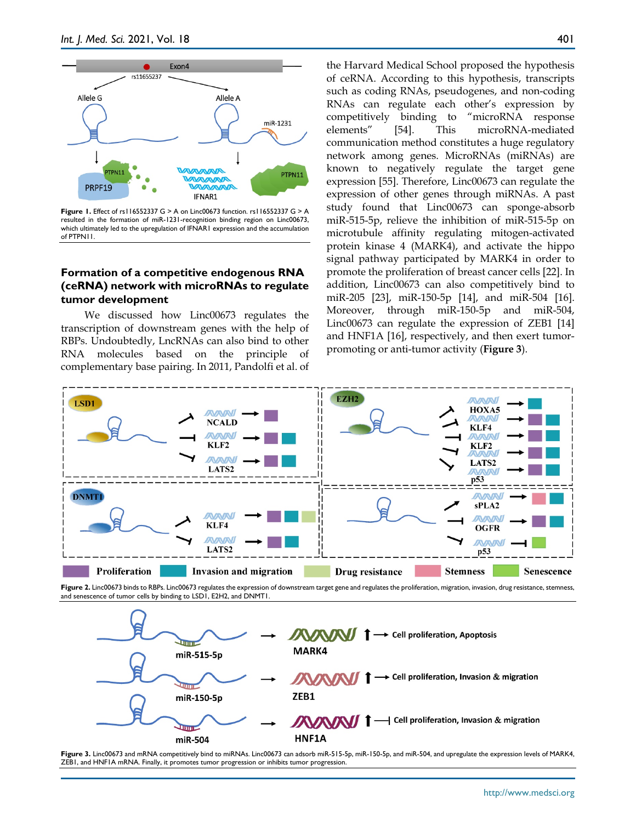

**Figure 1.** Effect of rs116552337 G > A on Linc00673 function. rs116552337 G > A resulted in the formation of miR-1231-recognition binding region on Linc00673, which ultimately led to the upregulation of IFNAR1 expression and the accumulation of PTPN11.

#### **Formation of a competitive endogenous RNA (ceRNA) network with microRNAs to regulate tumor development**

We discussed how Linc00673 regulates the transcription of downstream genes with the help of RBPs. Undoubtedly, LncRNAs can also bind to other RNA molecules based on the principle of complementary base pairing. In 2011, Pandolfi et al. of the Harvard Medical School proposed the hypothesis of ceRNA. According to this hypothesis, transcripts such as coding RNAs, pseudogenes, and non-coding RNAs can regulate each other's expression by competitively binding to "microRNA response elements" [54]. This microRNA-mediated communication method constitutes a huge regulatory network among genes. MicroRNAs (miRNAs) are known to negatively regulate the target gene expression [55]. Therefore, Linc00673 can regulate the expression of other genes through miRNAs. A past study found that Linc00673 can sponge-absorb miR-515-5p, relieve the inhibition of miR-515-5p on microtubule affinity regulating mitogen-activated protein kinase 4 (MARK4), and activate the hippo signal pathway participated by MARK4 in order to promote the proliferation of breast cancer cells [22]. In addition, Linc00673 can also competitively bind to miR-205 [23], miR-150-5p [14], and miR-504 [16]. Moreover, through miR-150-5p and miR-504, Linc00673 can regulate the expression of ZEB1 [14] and HNF1A [16], respectively, and then exert tumorpromoting or anti-tumor activity (**Figure 3**).



**Figure 2.** Linc00673 binds to RBPs. Linc00673 regulates the expression of downstream target gene and regulates the proliferation, migration, invasion, drug resistance, stemness, and senescence of tumor cells by binding to LSD1, E2H2, and DNMT1.



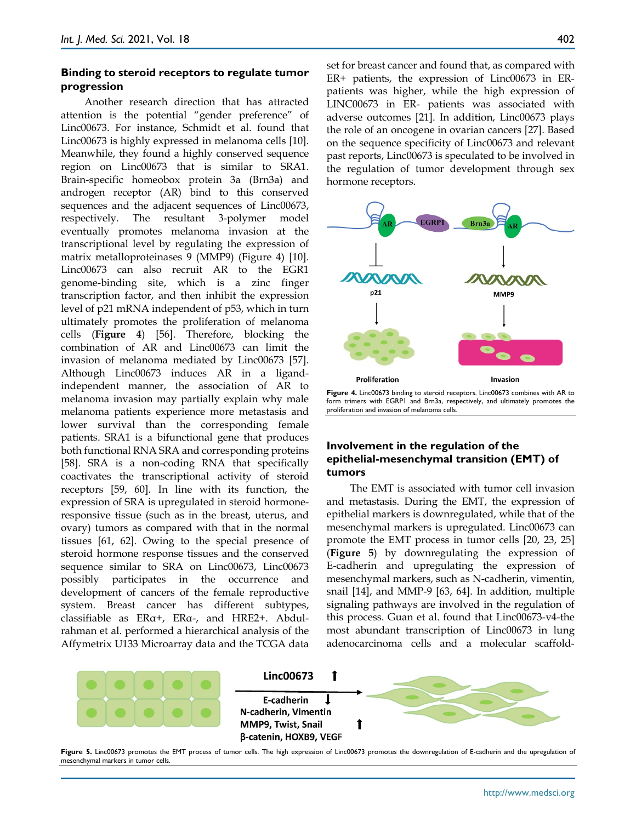#### **Binding to steroid receptors to regulate tumor progression**

Another research direction that has attracted attention is the potential "gender preference" of Linc00673. For instance, Schmidt et al. found that Linc00673 is highly expressed in melanoma cells [10]. Meanwhile, they found a highly conserved sequence region on Linc00673 that is similar to SRA1. Brain-specific homeobox protein 3a (Brn3a) and androgen receptor (AR) bind to this conserved sequences and the adjacent sequences of Linc00673, respectively. The resultant 3-polymer model eventually promotes melanoma invasion at the transcriptional level by regulating the expression of matrix metalloproteinases 9 (MMP9) (Figure 4) [10]. Linc00673 can also recruit AR to the EGR1 genome-binding site, which is a zinc finger transcription factor, and then inhibit the expression level of p21 mRNA independent of p53, which in turn ultimately promotes the proliferation of melanoma cells (**Figure 4**) [56]. Therefore, blocking the combination of AR and Linc00673 can limit the invasion of melanoma mediated by Linc00673 [57]. Although Linc00673 induces AR in a ligandindependent manner, the association of AR to melanoma invasion may partially explain why male melanoma patients experience more metastasis and lower survival than the corresponding female patients. SRA1 is a bifunctional gene that produces both functional RNA SRA and corresponding proteins [58]. SRA is a non-coding RNA that specifically coactivates the transcriptional activity of steroid receptors [59, 60]. In line with its function, the expression of SRA is upregulated in steroid hormoneresponsive tissue (such as in the breast, uterus, and ovary) tumors as compared with that in the normal tissues [61, 62]. Owing to the special presence of steroid hormone response tissues and the conserved sequence similar to SRA on Linc00673, Linc00673 possibly participates in the occurrence and development of cancers of the female reproductive system. Breast cancer has different subtypes, classifiable as ERα+, ERα-, and HRE2+. Abdulrahman et al. performed a hierarchical analysis of the Affymetrix U133 Microarray data and the TCGA data

set for breast cancer and found that, as compared with ER+ patients, the expression of Linc00673 in ERpatients was higher, while the high expression of LINC00673 in ER- patients was associated with adverse outcomes [21]. In addition, Linc00673 plays the role of an oncogene in ovarian cancers [27]. Based on the sequence specificity of Linc00673 and relevant past reports, Linc00673 is speculated to be involved in the regulation of tumor development through sex hormone receptors.



form trimers with EGRP1 and Brn3a, respectively, and ultimately promotes the proliferation and invasion of melanoma cells.

#### **Involvement in the regulation of the epithelial-mesenchymal transition (EMT) of tumors**

The EMT is associated with tumor cell invasion and metastasis. During the EMT, the expression of epithelial markers is downregulated, while that of the mesenchymal markers is upregulated. Linc00673 can promote the EMT process in tumor cells [20, 23, 25] (**Figure 5**) by downregulating the expression of E-cadherin and upregulating the expression of mesenchymal markers, such as N-cadherin, vimentin, snail [14], and MMP-9 [63, 64]. In addition, multiple signaling pathways are involved in the regulation of this process. Guan et al. found that Linc00673-v4-the most abundant transcription of Linc00673 in lung adenocarcinoma cells and a molecular scaffold-



Figure 5. Linc00673 promotes the EMT process of tumor cells. The high expression of Linc00673 promotes the downregulation of E-cadherin and the upregulation of mesenchymal markers in tumor cells.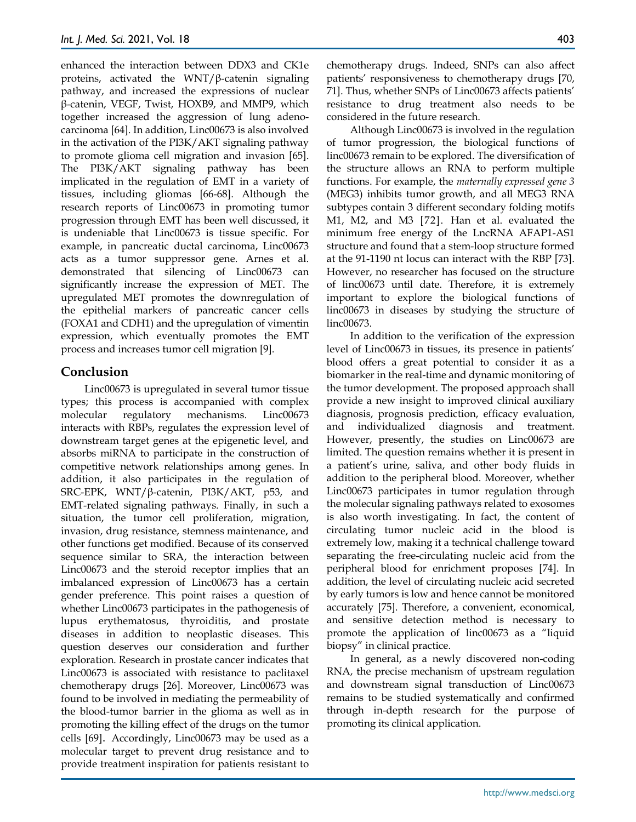enhanced the interaction between DDX3 and CK1e proteins, activated the WNT/β-catenin signaling pathway, and increased the expressions of nuclear β-catenin, VEGF, Twist, HOXB9, and MMP9, which together increased the aggression of lung adenocarcinoma [64]. In addition, Linc00673 is also involved in the activation of the PI3K/AKT signaling pathway to promote glioma cell migration and invasion [65]. The PI3K/AKT signaling pathway has been implicated in the regulation of EMT in a variety of tissues, including gliomas [66-68]. Although the research reports of Linc00673 in promoting tumor progression through EMT has been well discussed, it is undeniable that Linc00673 is tissue specific. For example, in pancreatic ductal carcinoma, Linc00673 acts as a tumor suppressor gene. Arnes et al. demonstrated that silencing of Linc00673 can significantly increase the expression of MET. The upregulated MET promotes the downregulation of the epithelial markers of pancreatic cancer cells (FOXA1 and CDH1) and the upregulation of vimentin expression, which eventually promotes the EMT process and increases tumor cell migration [9].

## **Conclusion**

Linc00673 is upregulated in several tumor tissue types; this process is accompanied with complex molecular regulatory mechanisms. Linc00673 interacts with RBPs, regulates the expression level of downstream target genes at the epigenetic level, and absorbs miRNA to participate in the construction of competitive network relationships among genes. In addition, it also participates in the regulation of SRC-EPK, WNT/β-catenin, PI3K/AKT, p53, and EMT-related signaling pathways. Finally, in such a situation, the tumor cell proliferation, migration, invasion, drug resistance, stemness maintenance, and other functions get modified. Because of its conserved sequence similar to SRA, the interaction between Linc00673 and the steroid receptor implies that an imbalanced expression of Linc00673 has a certain gender preference. This point raises a question of whether Linc00673 participates in the pathogenesis of lupus erythematosus, thyroiditis, and prostate diseases in addition to neoplastic diseases. This question deserves our consideration and further exploration. Research in prostate cancer indicates that Linc00673 is associated with resistance to paclitaxel chemotherapy drugs [26]. Moreover, Linc00673 was found to be involved in mediating the permeability of the blood-tumor barrier in the glioma as well as in promoting the killing effect of the drugs on the tumor cells [69]. Accordingly, Linc00673 may be used as a molecular target to prevent drug resistance and to provide treatment inspiration for patients resistant to

chemotherapy drugs. Indeed, SNPs can also affect patients' responsiveness to chemotherapy drugs [70, 71]. Thus, whether SNPs of Linc00673 affects patients' resistance to drug treatment also needs to be considered in the future research.

Although Linc00673 is involved in the regulation of tumor progression, the biological functions of linc00673 remain to be explored. The diversification of the structure allows an RNA to perform multiple functions. For example, the *maternally expressed gene 3* (MEG3) inhibits tumor growth, and all MEG3 RNA subtypes contain 3 different secondary folding motifs M1, M2, and M3 [72]. Han et al. evaluated the minimum free energy of the LncRNA AFAP1-AS1 structure and found that a stem-loop structure formed at the 91-1190 nt locus can interact with the RBP [73]. However, no researcher has focused on the structure of linc00673 until date. Therefore, it is extremely important to explore the biological functions of linc00673 in diseases by studying the structure of linc00673.

In addition to the verification of the expression level of Linc00673 in tissues, its presence in patients' blood offers a great potential to consider it as a biomarker in the real-time and dynamic monitoring of the tumor development. The proposed approach shall provide a new insight to improved clinical auxiliary diagnosis, prognosis prediction, efficacy evaluation, and individualized diagnosis and treatment. However, presently, the studies on Linc00673 are limited. The question remains whether it is present in a patient's urine, saliva, and other body fluids in addition to the peripheral blood. Moreover, whether Linc00673 participates in tumor regulation through the molecular signaling pathways related to exosomes is also worth investigating. In fact, the content of circulating tumor nucleic acid in the blood is extremely low, making it a technical challenge toward separating the free-circulating nucleic acid from the peripheral blood for enrichment proposes [74]. In addition, the level of circulating nucleic acid secreted by early tumors is low and hence cannot be monitored accurately [75]. Therefore, a convenient, economical, and sensitive detection method is necessary to promote the application of linc00673 as a "liquid biopsy" in clinical practice.

In general, as a newly discovered non-coding RNA, the precise mechanism of upstream regulation and downstream signal transduction of Linc00673 remains to be studied systematically and confirmed through in-depth research for the purpose of promoting its clinical application.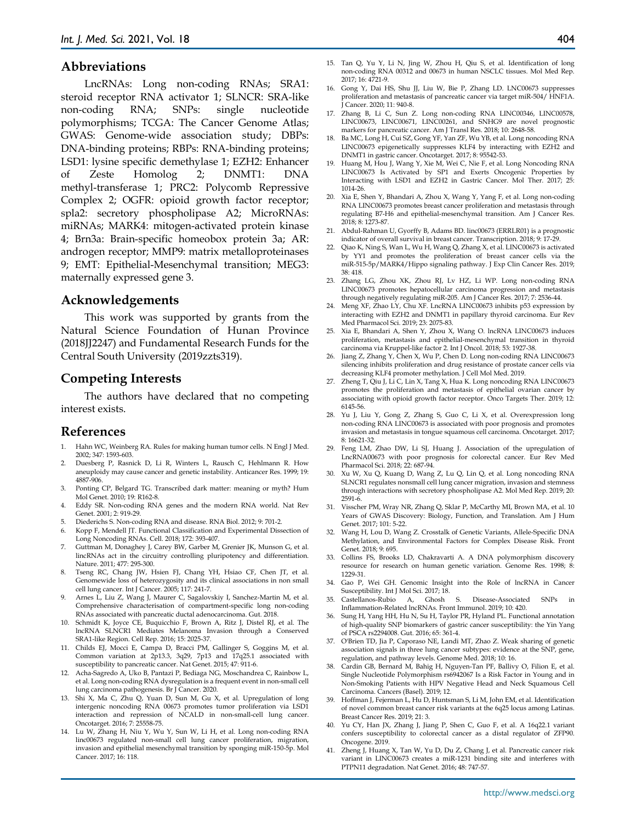#### **Abbreviations**

LncRNAs: Long non-coding RNAs; SRA1: steroid receptor RNA activator 1; SLNCR: SRA-like non-coding RNA; SNPs: single nucleotide polymorphisms; TCGA: The Cancer Genome Atlas; GWAS: Genome-wide association study; DBPs: DNA-binding proteins; RBPs: RNA-binding proteins; LSD1: lysine specific demethylase 1; EZH2: Enhancer of Zeste Homolog 2; DNMT1: DNA methyl-transferase 1; PRC2: Polycomb Repressive Complex 2; OGFR: opioid growth factor receptor; spla2: secretory phospholipase A2; MicroRNAs: miRNAs; MARK4: mitogen-activated protein kinase 4; Brn3a: Brain-specific homeobox protein 3a; AR: androgen receptor; MMP9: matrix metalloproteinases 9; EMT: Epithelial-Mesenchymal transition; MEG3: maternally expressed gene 3.

#### **Acknowledgements**

This work was supported by grants from the Natural Science Foundation of Hunan Province (2018JJ2247) and Fundamental Research Funds for the Central South University (2019zzts319).

#### **Competing Interests**

The authors have declared that no competing interest exists.

#### **References**

- Hahn WC, Weinberg RA. Rules for making human tumor cells. N Engl J Med. 2002; 347: 1593-603.
- 2. Duesberg P, Rasnick D, Li R, Winters L, Rausch C, Hehlmann R. How aneuploidy may cause cancer and genetic instability. Anticancer Res. 1999; 19: 4887-906.
- 3. Ponting CP, Belgard TG. Transcribed dark matter: meaning or myth? Hum Mol Genet. 2010; 19: R162-8.
- 4. Eddy SR. Non-coding RNA genes and the modern RNA world. Nat Rev Genet. 2001; 2: 919-29.
- 5. Diederichs S. Non-coding RNA and disease. RNA Biol. 2012; 9: 701-2.
- Kopp F, Mendell JT. Functional Classification and Experimental Dissection of Long Noncoding RNAs. Cell. 2018; 172: 393-407.
- 7. Guttman M, Donaghey J, Carey BW, Garber M, Grenier JK, Munson G, et al. lincRNAs act in the circuitry controlling pluripotency and differentiation. Nature. 2011; 477: 295-300.
- 8. Tseng RC, Chang JW, Hsien FJ, Chang YH, Hsiao CF, Chen JT, et al. Genomewide loss of heterozygosity and its clinical associations in non small cell lung cancer. Int J Cancer. 2005; 117: 241-7.
- 9. Arnes L, Liu Z, Wang J, Maurer C, Sagalovskiy I, Sanchez-Martin M, et al. Comprehensive characterisation of compartment-specific long non-coding RNAs associated with pancreatic ductal adenocarcinoma. Gut. 2018.
- 10. Schmidt K, Joyce CE, Buquicchio F, Brown A, Ritz J, Distel RJ, et al. The lncRNA SLNCR1 Mediates Melanoma Invasion through a Conserved SRA1-like Region. Cell Rep. 2016; 15: 2025-37.
- 11. Childs EJ, Mocci E, Campa D, Bracci PM, Gallinger S, Goggins M, et al. Common variation at 2p13.3, 3q29, 7p13 and 17q25.1 associated with susceptibility to pancreatic cancer. Nat Genet. 2015; 47: 911-6.
- 12. Acha-Sagredo A, Uko B, Pantazi P, Bediaga NG, Moschandrea C, Rainbow L, et al. Long non-coding RNA dysregulation is a frequent event in non-small cell lung carcinoma pathogenesis. Br J Cancer. 2020.
- 13. Shi X, Ma C, Zhu Q, Yuan D, Sun M, Gu X, et al. Upregulation of long intergenic noncoding RNA 00673 promotes tumor proliferation via LSD1 interaction and repression of NCALD in non-small-cell lung cancer. Oncotarget. 2016; 7: 25558-75.
- 14. Lu W, Zhang H, Niu Y, Wu Y, Sun W, Li H, et al. Long non-coding RNA linc00673 regulated non-small cell lung cancer proliferation, migration, invasion and epithelial mesenchymal transition by sponging miR-150-5p. Mol Cancer. 2017; 16: 118.
- 404
- 15. Tan Q, Yu Y, Li N, Jing W, Zhou H, Qiu S, et al. Identification of long non-coding RNA 00312 and 00673 in human NSCLC tissues. Mol Med Rep. 2017; 16: 4721-9.
- 16. Gong Y, Dai HS, Shu JJ, Liu W, Bie P, Zhang LD. LNC00673 suppresses proliferation and metastasis of pancreatic cancer via target miR-504/ HNF1A. J Cancer. 2020; 11: 940-8.
- 17. Zhang B, Li C, Sun Z. Long non-coding RNA LINC00346, LINC00578, LINC00673, LINC00671, LINC00261, and SNHG9 are novel prognostic markers for pancreatic cancer. Am J Transl Res. 2018; 10: 2648-58.
- 18. Ba MC, Long H, Cui SZ, Gong YF, Yan ZF, Wu YB, et al. Long noncoding RNA LINC00673 epigenetically suppresses KLF4 by interacting with EZH2 and DNMT1 in gastric cancer. Oncotarget. 2017; 8: 95542-53.
- 19. Huang M, Hou J, Wang Y, Xie M, Wei C, Nie F, et al. Long Noncoding RNA LINC00673 Is Activated by SP1 and Exerts Oncogenic Properties by Interacting with LSD1 and EZH2 in Gastric Cancer. Mol Ther. 2017; 25: 1014-26.
- 20. Xia E, Shen Y, Bhandari A, Zhou X, Wang Y, Yang F, et al. Long non-coding RNA LINC00673 promotes breast cancer proliferation and metastasis through regulating B7-H6 and epithelial-mesenchymal transition. Am J Cancer Res. 2018; 8: 1273-87.
- 21. Abdul-Rahman U, Gyorffy B, Adams BD. linc00673 (ERRLR01) is a prognostic indicator of overall survival in breast cancer. Transcription. 2018; 9: 17-29.
- 22. Qiao K, Ning S, Wan L, Wu H, Wang Q, Zhang X, et al. LINC00673 is activated by YY1 and promotes the proliferation of breast cancer cells via the miR-515-5p/MARK4/Hippo signaling pathway. J Exp Clin Cancer Res. 2019; 38: 418.
- 23. Zhang LG, Zhou XK, Zhou RJ, Lv HZ, Li WP. Long non-coding RNA LINC00673 promotes hepatocellular carcinoma progression and metastasis through negatively regulating miR-205. Am J Cancer Res. 2017; 7: 2536-44.
- 24. Meng XF, Zhao LY, Chu XF. LncRNA LINC00673 inhibits p53 expression by interacting with EZH2 and DNMT1 in papillary thyroid carcinoma. Eur Rev Med Pharmacol Sci. 2019; 23: 2075-83.
- 25. Xia E, Bhandari A, Shen Y, Zhou X, Wang O. lncRNA LINC00673 induces proliferation, metastasis and epithelial-mesenchymal transition in thyroid carcinoma via Kruppel-like factor 2. Int J Oncol. 2018; 53: 1927-38.
- 26. Jiang Z, Zhang Y, Chen X, Wu P, Chen D. Long non-coding RNA LINC00673 silencing inhibits proliferation and drug resistance of prostate cancer cells via decreasing KLF4 promoter methylation. J Cell Mol Med. 2019.
- 27. Zheng T, Qiu J, Li C, Lin X, Tang X, Hua K. Long noncoding RNA LINC00673 promotes the proliferation and metastasis of epithelial ovarian cancer by associating with opioid growth factor receptor. Onco Targets Ther. 2019; 12: 6145-56.
- 28. Yu J, Liu Y, Gong Z, Zhang S, Guo C, Li X, et al. Overexpression long non-coding RNA LINC00673 is associated with poor prognosis and promotes invasion and metastasis in tongue squamous cell carcinoma. Oncotarget. 2017; 8: 16621-32.
- 29. Feng LM, Zhao DW, Li SJ, Huang J. Association of the upregulation of LncRNA00673 with poor prognosis for colorectal cancer. Eur Rev Med Pharmacol Sci. 2018; 22: 687-94.
- 30. Xu W, Xu Q, Kuang D, Wang Z, Lu Q, Lin Q, et al. Long noncoding RNA SLNCR1 regulates nonsmall cell lung cancer migration, invasion and stemness through interactions with secretory phospholipase A2. Mol Med Rep. 2019; 20: 2591-6.
- 31. Visscher PM, Wray NR, Zhang Q, Sklar P, McCarthy MI, Brown MA, et al. 10 Years of GWAS Discovery: Biology, Function, and Translation. Am J Hum Genet. 2017; 101: 5-22.
- 32. Wang H, Lou D, Wang Z. Crosstalk of Genetic Variants, Allele-Specific DNA Methylation, and Environmental Factors for Complex Disease Risk. Front Genet. 2018; 9: 695.
- 33. Collins FS, Brooks LD, Chakravarti A. A DNA polymorphism discovery resource for research on human genetic variation. Genome Res. 1998; 8: 1229-31.
- 34. Gao P, Wei GH. Genomic Insight into the Role of lncRNA in Cancer Susceptibility. Int J Mol Sci. 2017; 18.
- 35. Castellanos-Rubio A, Ghosh S. Disease-Associated SNPs Inflammation-Related lncRNAs. Front Immunol. 2019; 10: 420.
- Sung H, Yang HH, Hu N, Su H, Taylor PR, Hyland PL. Functional annotation of high-quality SNP biomarkers of gastric cancer susceptibility: the Yin Yang of PSCA rs2294008. Gut. 2016; 65: 361-4.
- 37. O'Brien TD, Jia P, Caporaso NE, Landi MT, Zhao Z. Weak sharing of genetic association signals in three lung cancer subtypes: evidence at the SNP, gene, regulation, and pathway levels. Genome Med. 2018; 10: 16.
- 38. Cardin GB, Bernard M, Bahig H, Nguyen-Tan PF, Ballivy O, Filion E, et al. Single Nucleotide Polymorphism rs6942067 Is a Risk Factor in Young and in Non-Smoking Patients with HPV Negative Head and Neck Squamous Cell Carcinoma. Cancers (Basel). 2019; 12.
- 39. Hoffman J, Fejerman L, Hu D, Huntsman S, Li M, John EM, et al. Identification of novel common breast cancer risk variants at the 6q25 locus among Latinas. Breast Cancer Res. 2019; 21: 3.
- 40. Yu CY, Han JX, Zhang J, Jiang P, Shen C, Guo F, et al. A 16q22.1 variant confers susceptibility to colorectal cancer as a distal regulator of ZFP90. Oncogene. 2019.
- 41. Zheng J, Huang X, Tan W, Yu D, Du Z, Chang J, et al. Pancreatic cancer risk variant in LINC00673 creates a miR-1231 binding site and interferes with PTPN11 degradation. Nat Genet. 2016; 48: 747-57.